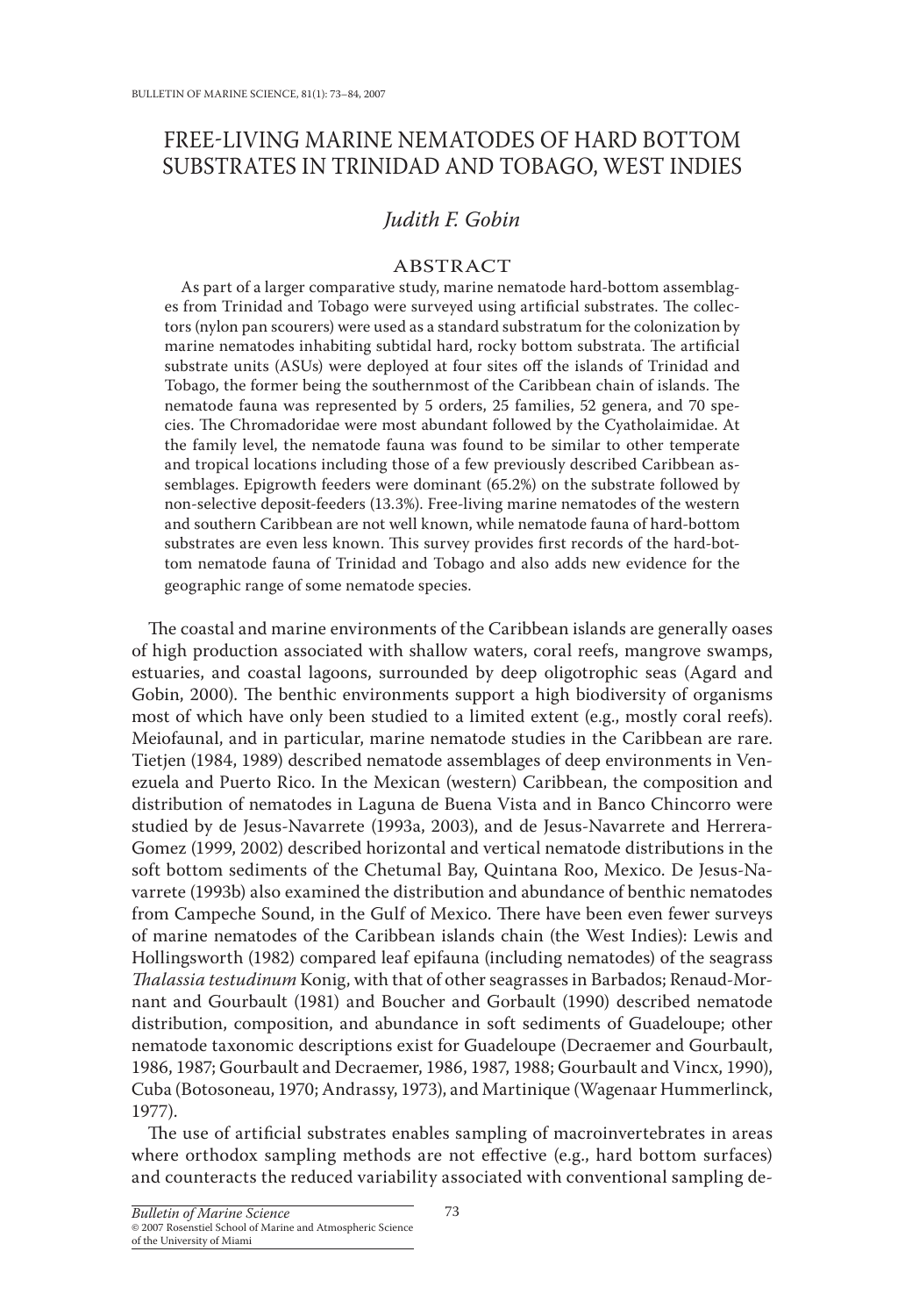# FREE-LIVING MARINE NEMATODES OF HARD BOTTOM SUBSTRATES IN TRINIDAD AND TOBAGO, WEST INDIES

## *Judith F. Gobin*

## ABSTRACT

As part of a larger comparative study, marine nematode hard-bottom assemblages from Trinidad and Tobago were surveyed using artificial substrates. The collectors (nylon pan scourers) were used as a standard substratum for the colonization by marine nematodes inhabiting subtidal hard, rocky bottom substrata. The artificial substrate units (ASUs) were deployed at four sites off the islands of Trinidad and Tobago, the former being the southernmost of the Caribbean chain of islands. The nematode fauna was represented by 5 orders, 25 families, 52 genera, and 70 species. The Chromadoridae were most abundant followed by the Cyatholaimidae. At the family level, the nematode fauna was found to be similar to other temperate and tropical locations including those of a few previously described Caribbean assemblages. Epigrowth feeders were dominant (65.2%) on the substrate followed by non-selective deposit-feeders (13.3%). Free-living marine nematodes of the western and southern Caribbean are not well known, while nematode fauna of hard-bottom substrates are even less known. This survey provides first records of the hard-bottom nematode fauna of Trinidad and Tobago and also adds new evidence for the geographic range of some nematode species.

The coastal and marine environments of the Caribbean islands are generally oases of high production associated with shallow waters, coral reefs, mangrove swamps, estuaries, and coastal lagoons, surrounded by deep oligotrophic seas (Agard and Gobin, 2000). The benthic environments support a high biodiversity of organisms most of which have only been studied to a limited extent (e.g., mostly coral reefs). Meiofaunal, and in particular, marine nematode studies in the Caribbean are rare. Tietjen (1984, 1989) described nematode assemblages of deep environments in Venezuela and Puerto Rico. In the Mexican (western) Caribbean, the composition and distribution of nematodes in Laguna de Buena Vista and in Banco Chincorro were studied by de Jesus-Navarrete (1993a, 2003), and de Jesus-Navarrete and Herrera-Gomez (1999, 2002) described horizontal and vertical nematode distributions in the soft bottom sediments of the Chetumal Bay, Quintana Roo, Mexico. De Jesus-Navarrete (1993b) also examined the distribution and abundance of benthic nematodes from Campeche Sound, in the Gulf of Mexico. There have been even fewer surveys of marine nematodes of the Caribbean islands chain (the West Indies): Lewis and Hollingsworth (1982) compared leaf epifauna (including nematodes) of the seagrass *Thalassia testudinum* Konig, with that of other seagrasses in Barbados; Renaud-Mornant and Gourbault (1981) and Boucher and Gorbault (1990) described nematode distribution, composition, and abundance in soft sediments of Guadeloupe; other nematode taxonomic descriptions exist for Guadeloupe (Decraemer and Gourbault, 1986, 1987; Gourbault and Decraemer, 1986, 1987, 1988; Gourbault and Vincx, 1990), Cuba (Botosoneau, 1970; Andrassy, 1973), and Martinique (Wagenaar Hummerlinck, 1977).

The use of artificial substrates enables sampling of macroinvertebrates in areas where orthodox sampling methods are not effective (e.g., hard bottom surfaces) and counteracts the reduced variability associated with conventional sampling de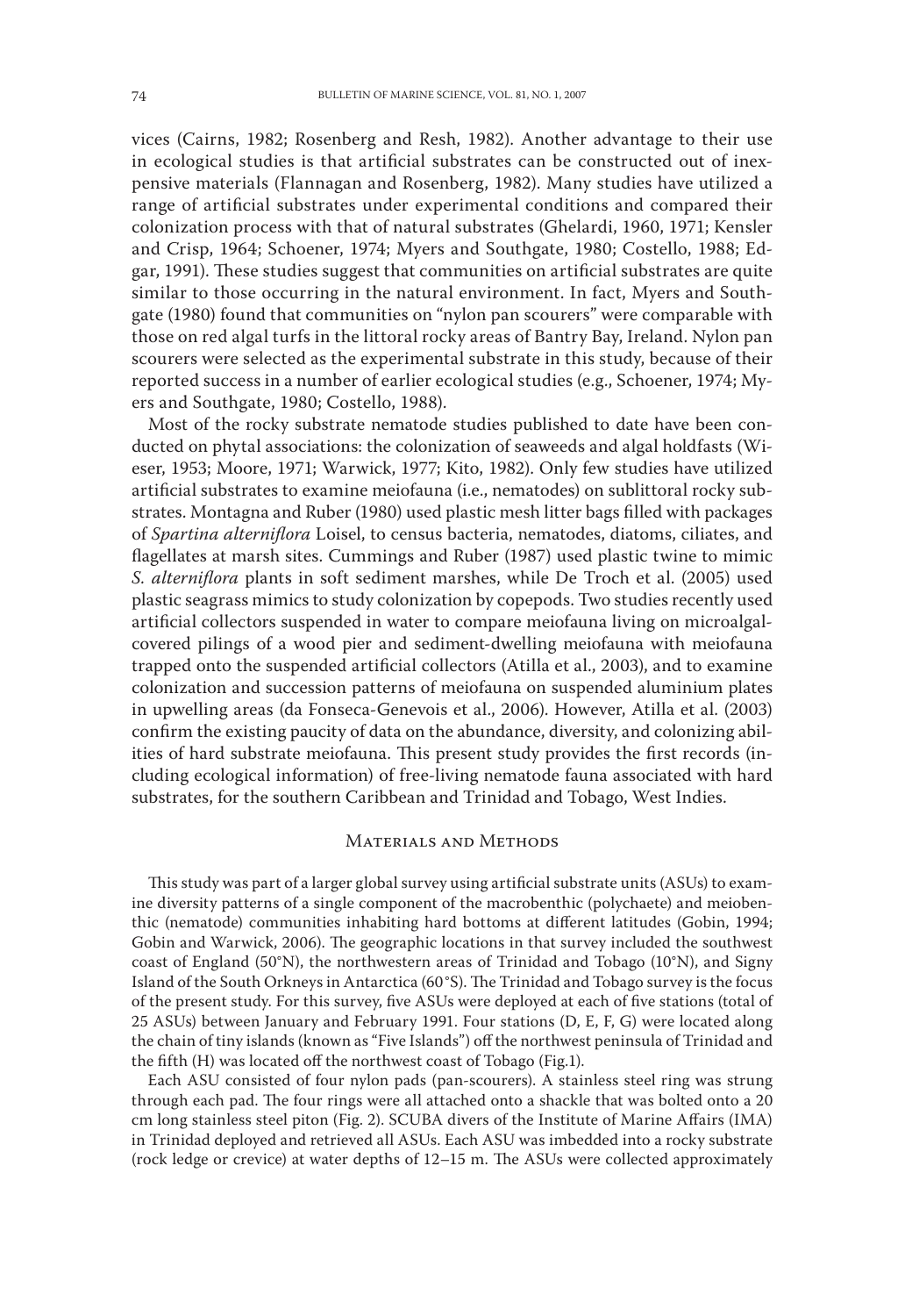vices (Cairns, 1982; Rosenberg and Resh, 1982). Another advantage to their use in ecological studies is that artificial substrates can be constructed out of inexpensive materials (Flannagan and Rosenberg, 1982). Many studies have utilized a range of artificial substrates under experimental conditions and compared their colonization process with that of natural substrates (Ghelardi, 1960, 1971; Kensler and Crisp, 1964; Schoener, 1974; Myers and Southgate, 1980; Costello, 1988; Edgar, 1991). These studies suggest that communities on artificial substrates are quite similar to those occurring in the natural environment. In fact, Myers and Southgate (1980) found that communities on "nylon pan scourers" were comparable with those on red algal turfs in the littoral rocky areas of Bantry Bay, Ireland. Nylon pan scourers were selected as the experimental substrate in this study, because of their reported success in a number of earlier ecological studies (e.g., Schoener, 1974; Myers and Southgate, 1980; Costello, 1988).

Most of the rocky substrate nematode studies published to date have been conducted on phytal associations: the colonization of seaweeds and algal holdfasts (Wieser, 1953; Moore, 1971; Warwick, 1977; Kito, 1982). Only few studies have utilized artificial substrates to examine meiofauna (i.e., nematodes) on sublittoral rocky substrates. Montagna and Ruber (1980) used plastic mesh litter bags filled with packages of *Spartina alterniflora* Loisel, to census bacteria, nematodes, diatoms, ciliates, and flagellates at marsh sites. Cummings and Ruber (1987) used plastic twine to mimic *S. alterniflora* plants in soft sediment marshes, while De Troch et al. (2005) used plastic seagrass mimics to study colonization by copepods. Two studies recently used artificial collectors suspended in water to compare meiofauna living on microalgalcovered pilings of a wood pier and sediment-dwelling meiofauna with meiofauna trapped onto the suspended artificial collectors (Atilla et al., 2003), and to examine colonization and succession patterns of meiofauna on suspended aluminium plates in upwelling areas (da Fonseca-Genevois et al., 2006). However, Atilla et al. (2003) confirm the existing paucity of data on the abundance, diversity, and colonizing abilities of hard substrate meiofauna. This present study provides the first records (including ecological information) of free-living nematode fauna associated with hard substrates, for the southern Caribbean and Trinidad and Tobago, West Indies.

### Materials and Methods

This study was part of a larger global survey using artificial substrate units (ASUs) to examine diversity patterns of a single component of the macrobenthic (polychaete) and meiobenthic (nematode) communities inhabiting hard bottoms at different latitudes (Gobin, 1994; Gobin and Warwick, 2006). The geographic locations in that survey included the southwest coast of England (50°N), the northwestern areas of Trinidad and Tobago (10°N), and Signy Island of the South Orkneys in Antarctica (60°S). The Trinidad and Tobago survey is the focus of the present study. For this survey, five ASUs were deployed at each of five stations (total of 25 ASUs) between January and February 1991. Four stations (D, E, F, G) were located along the chain of tiny islands (known as "Five Islands") off the northwest peninsula of Trinidad and the fifth (H) was located off the northwest coast of Tobago (Fig.1).

Each ASU consisted of four nylon pads (pan-scourers). A stainless steel ring was strung through each pad. The four rings were all attached onto a shackle that was bolted onto a 20 cm long stainless steel piton (Fig. 2). SCUBA divers of the Institute of Marine Affairs (IMA) in Trinidad deployed and retrieved all ASUs. Each ASU was imbedded into a rocky substrate (rock ledge or crevice) at water depths of 12–15 m. The ASUs were collected approximately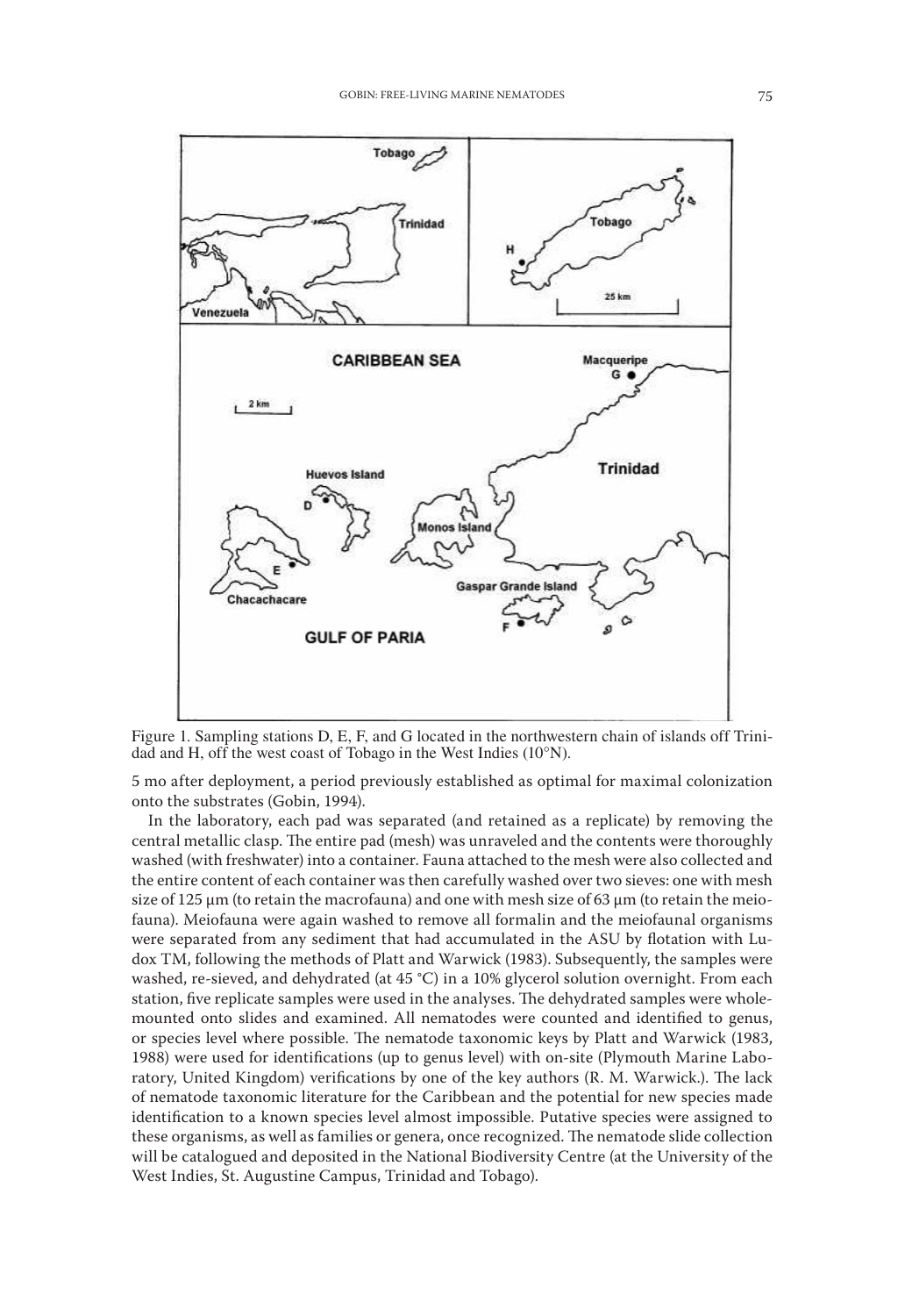

Figure 1. Sampling stations D, E, F, and G located in the northwestern chain of islands off Trinidad and H, off the west coast of Tobago in the West Indies (10°N).

5 mo after deployment, a period previously established as optimal for maximal colonization onto the substrates (Gobin, 1994).

In the laboratory, each pad was separated (and retained as a replicate) by removing the central metallic clasp. The entire pad (mesh) was unraveled and the contents were thoroughly washed (with freshwater) into a container. Fauna attached to the mesh were also collected and the entire content of each container was then carefully washed over two sieves: one with mesh size of 125  $\mu$ m (to retain the macrofauna) and one with mesh size of 63  $\mu$ m (to retain the meiofauna). Meiofauna were again washed to remove all formalin and the meiofaunal organisms were separated from any sediment that had accumulated in the ASU by flotation with Ludox TM, following the methods of Platt and Warwick (1983). Subsequently, the samples were washed, re-sieved, and dehydrated (at 45 °C) in a 10% glycerol solution overnight. From each station, five replicate samples were used in the analyses. The dehydrated samples were wholemounted onto slides and examined. All nematodes were counted and identified to genus, or species level where possible. The nematode taxonomic keys by Platt and Warwick (1983, 1988) were used for identifications (up to genus level) with on-site (Plymouth Marine Laboratory, United Kingdom) verifications by one of the key authors (R. M. Warwick.). The lack of nematode taxonomic literature for the Caribbean and the potential for new species made identification to a known species level almost impossible. Putative species were assigned to these organisms, as well as families or genera, once recognized. The nematode slide collection will be catalogued and deposited in the National Biodiversity Centre (at the University of the West Indies, St. Augustine Campus, Trinidad and Tobago).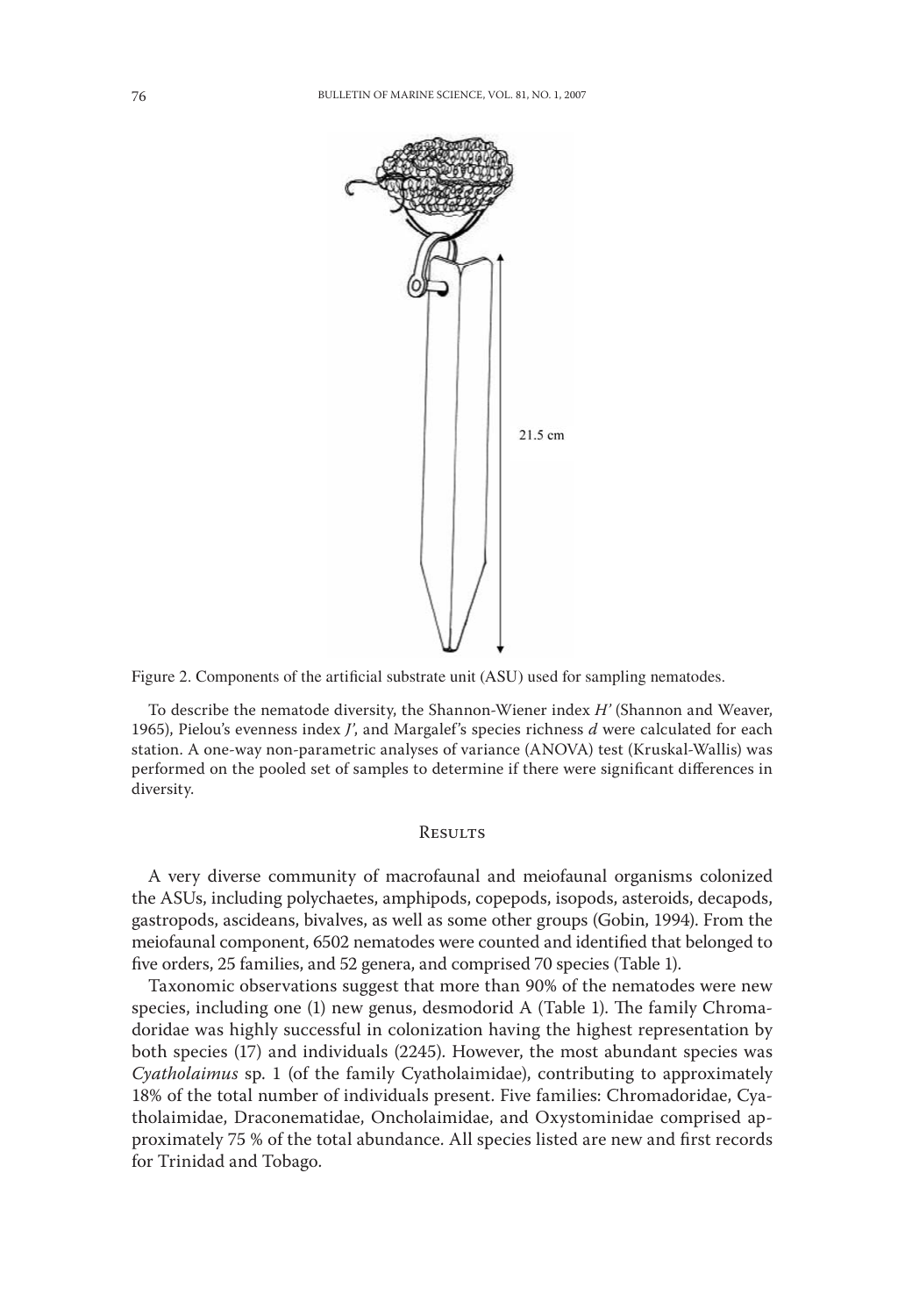



To describe the nematode diversity, the Shannon-Wiener index *H'* (Shannon and Weaver, 1965), Pielou's evenness index *J'*, and Margalef's species richness *d* were calculated for each station. A one-way non-parametric analyses of variance (ANOVA) test (Kruskal-Wallis) was performed on the pooled set of samples to determine if there were significant differences in diversity.

### **RESULTS**

A very diverse community of macrofaunal and meiofaunal organisms colonized the ASUs, including polychaetes, amphipods, copepods, isopods, asteroids, decapods, gastropods, ascideans, bivalves, as well as some other groups (Gobin, 1994). From the meiofaunal component, 6502 nematodes were counted and identified that belonged to five orders, 25 families, and 52 genera, and comprised 70 species (Table 1).

Taxonomic observations suggest that more than 90% of the nematodes were new species, including one (1) new genus, desmodorid A (Table 1). The family Chromadoridae was highly successful in colonization having the highest representation by both species (17) and individuals (2245). However, the most abundant species was *Cyatholaimus* sp. 1 (of the family Cyatholaimidae), contributing to approximately 18% of the total number of individuals present. Five families: Chromadoridae, Cyatholaimidae, Draconematidae, Oncholaimidae, and Oxystominidae comprised approximately 75 % of the total abundance. All species listed are new and first records for Trinidad and Tobago.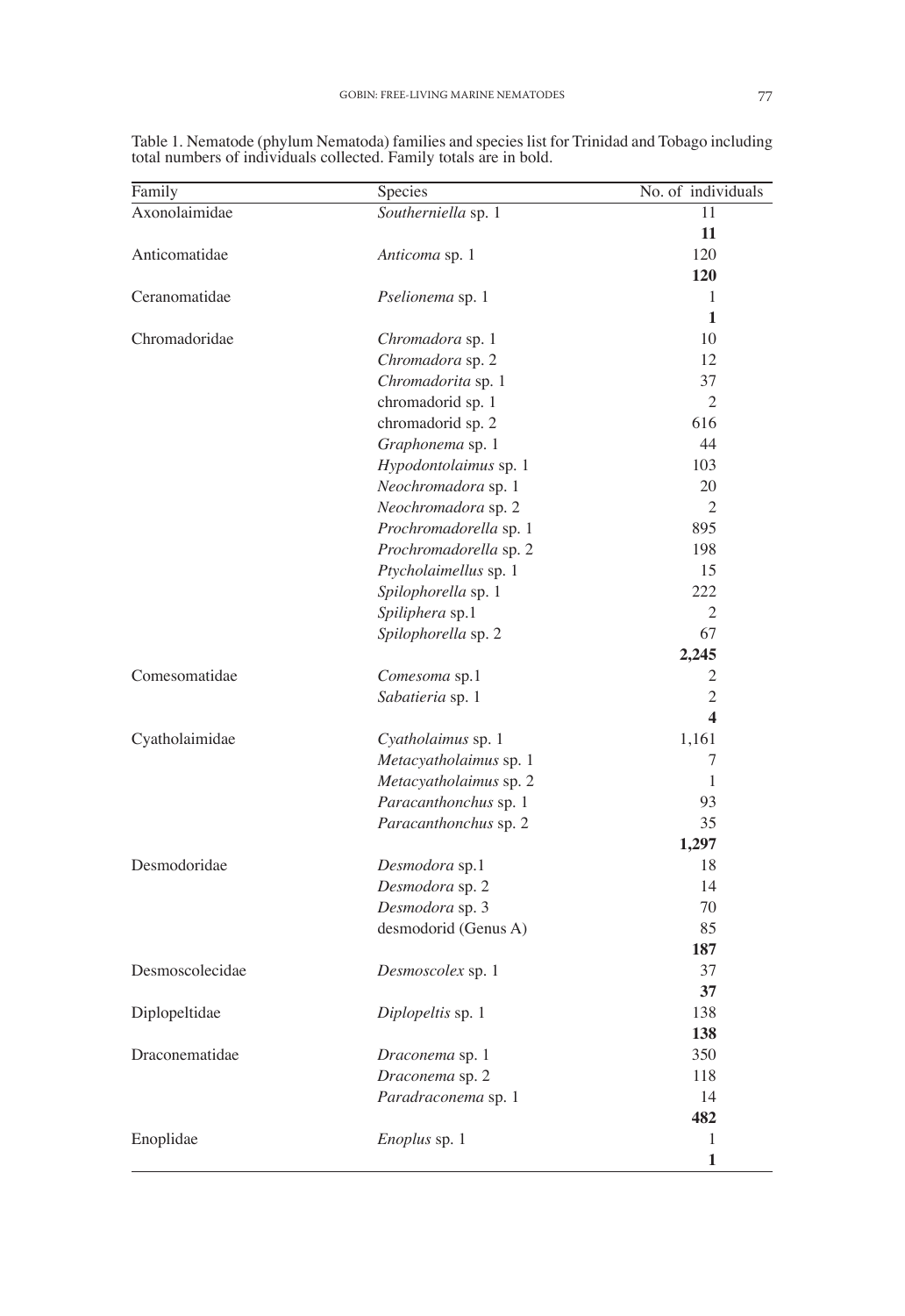| Family         | Species                | No. of individuals |
|----------------|------------------------|--------------------|
| Axonolaimidae  | Southerniella sp. 1    | 11                 |
|                |                        | 11                 |
| Anticomatidae  | Anticoma sp. 1         | 120                |
|                |                        | 120                |
| Ceranomatidae  | Pselionema sp. 1       | 1                  |
|                |                        | $\mathbf{1}$       |
| Chromadoridae  | Chromadora sp. 1       | 10                 |
|                | Chromadora sp. 2       | 12                 |
|                | Chromadorita sp. 1     | 37                 |
|                | chromadorid sp. 1      | $\overline{2}$     |
|                | chromadorid sp. 2      | 616                |
|                | Graphonema sp. 1       | 44                 |
|                | Hypodontolaimus sp. 1  | 103                |
|                | Neochromadora sp. 1    | 20                 |
|                | Neochromadora sp. 2    | $\overline{2}$     |
|                | Prochromadorella sp. 1 | 895                |
|                | Prochromadorella sp. 2 | 198                |
|                | Ptycholaimellus sp. 1  | 15                 |
|                | Spilophorella sp. 1    | 222                |
|                | Spiliphera sp.1        | $\overline{2}$     |
|                | Spilophorella sp. 2    | 67                 |
|                |                        | 2,245              |
| Comesomatidae  | Comesoma sp.1          | $\overline{c}$     |
|                | Sabatieria sp. 1       | $\overline{2}$     |
|                |                        | 4                  |
| Cyatholaimidae | Cyatholaimus sp. 1     | 1,161              |
|                | Metacyatholaimus sp. 1 | 7                  |
|                | Metacyatholaimus sp. 2 | 1                  |
|                | Paracanthonchus sp. 1  | 93                 |
|                | Paracanthonchus sp. 2  | 35                 |
|                |                        | 1,297              |
| Desmodoridae   | Desmodora sp.1         | 18                 |
|                |                        | 1 <sub>A</sub>     |

Table 1. Nematode (phylum Nematoda) families and species list for Trinidad and Tobago including total numbers of individuals collected. Family totals are in bold.

|                 | Sabatieria sp. 1       | $\overline{2}$   |
|-----------------|------------------------|------------------|
|                 |                        | $\boldsymbol{4}$ |
| Cyatholaimidae  | Cyatholaimus sp. 1     | 1,161            |
|                 | Metacyatholaimus sp. 1 | 7                |
|                 | Metacyatholaimus sp. 2 | 1                |
|                 | Paracanthonchus sp. 1  | 93               |
|                 | Paracanthonchus sp. 2  | 35               |
|                 |                        | 1,297            |
| Desmodoridae    | Desmodora sp.1         | 18               |
|                 | Desmodora sp. 2        | 14               |
|                 | Desmodora sp. 3        | 70               |
|                 | desmodorid (Genus A)   | 85               |
|                 |                        | 187              |
| Desmoscolecidae | Desmoscolex sp. 1      | 37               |
|                 |                        | 37               |
| Diplopeltidae   | Diplopeltis sp. 1      | 138              |
|                 |                        | 138              |
| Draconematidae  | Draconema sp. 1        | 350              |
|                 | Draconema sp. 2        | 118              |
|                 | Paradraconema sp. 1    | 14               |
|                 |                        | 482              |
| Enoplidae       | <i>Enoplus</i> sp. 1   | 1                |
|                 |                        | 1                |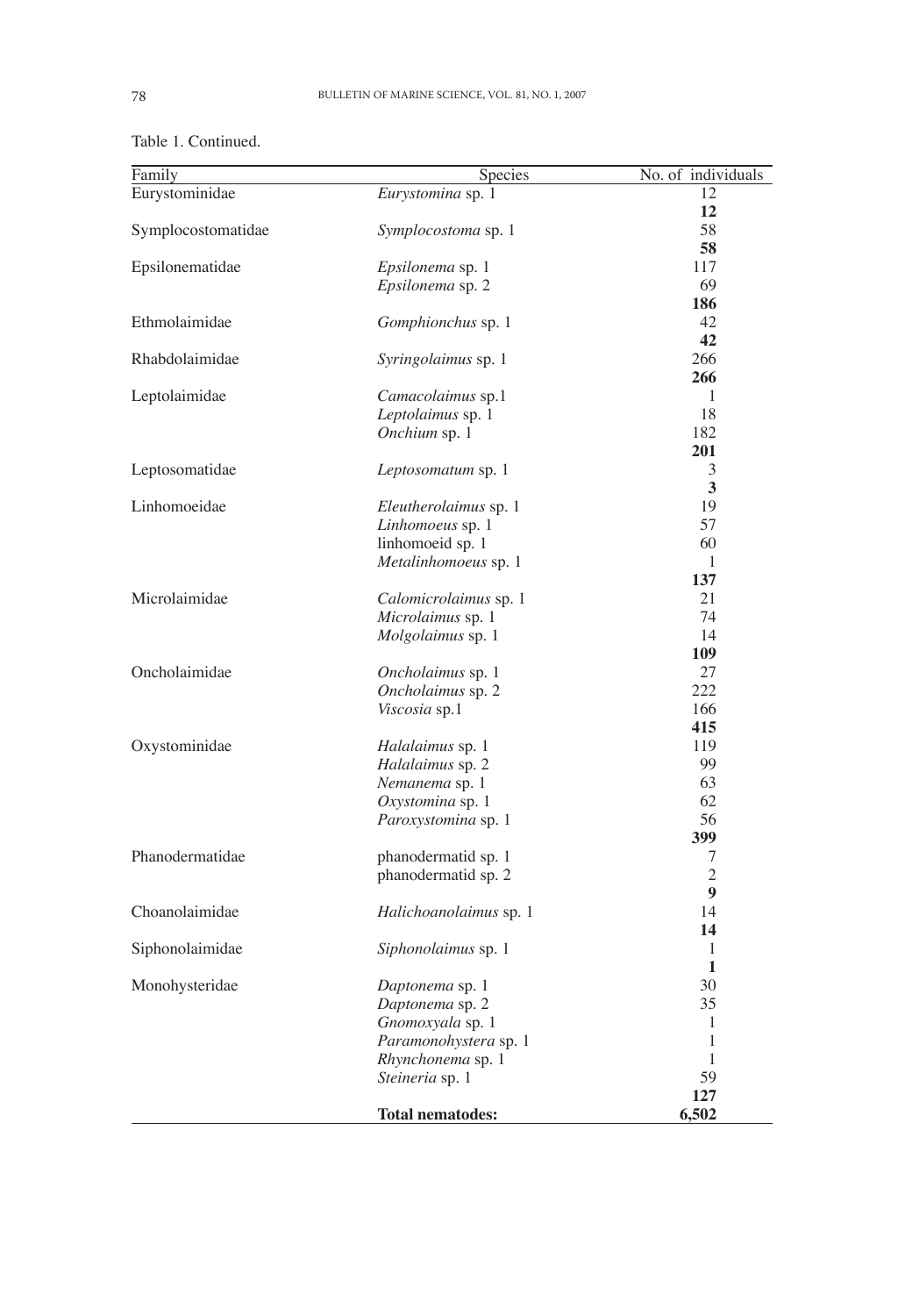| Family             | Species                                    | No. of individuals |
|--------------------|--------------------------------------------|--------------------|
| Eurystominidae     | Eurystomina sp. 1                          | 12                 |
|                    |                                            | 12                 |
| Symplocostomatidae | <i>Symplocostoma</i> sp. 1                 | 58                 |
|                    |                                            | 58                 |
| Epsilonematidae    | <i>Epsilonema</i> sp. 1                    | 117                |
|                    | <i>Epsilonema</i> sp. 2                    | 69                 |
|                    |                                            | 186                |
| Ethmolaimidae      | <i>Gomphionchus</i> sp. 1                  | 42                 |
|                    |                                            | 42                 |
| Rhabdolaimidae     | <i>Syringolaimus</i> sp. 1                 | 266                |
|                    |                                            | 266                |
| Leptolaimidae      | <i>Camacolaimus</i> sp.1                   | 1                  |
|                    | Leptolaimus sp. 1                          | 18                 |
|                    | Onchium sp. 1                              | 182                |
|                    |                                            | 201<br>3           |
| Leptosomatidae     | Leptosomatum sp. 1                         | 3                  |
| Linhomoeidae       | <i>Eleutherolaimus</i> sp. 1               | 19                 |
|                    | <i>Linhomoeus</i> sp. 1                    | 57                 |
|                    | linhomoeid sp. 1                           | 60                 |
|                    | Metalinhomoeus sp. 1                       | $\mathbf{1}$       |
|                    |                                            | 137                |
| Microlaimidae      | Calomicrolaimus sp. 1                      | 21                 |
|                    | <i>Microlaimus</i> sp. 1                   | 74                 |
|                    | Molgolaimus sp. 1                          | 14                 |
|                    |                                            | 109                |
| Oncholaimidae      | Oncholaimus sp. 1                          | 27                 |
|                    | <i>Oncholaimus</i> sp. 2                   | 222                |
|                    | <i>Viscosia</i> sp.1                       | 166                |
|                    |                                            | 415                |
| Oxystominidae      | Halalaimus sp. 1                           | 119                |
|                    | Halalaimus sp. 2                           | 99                 |
|                    | Nemanema sp. 1                             | 63                 |
|                    | Oxystomina sp. 1                           | 62                 |
|                    | <i>Paroxystomina</i> sp. 1                 | 56                 |
|                    |                                            | 399                |
| Phanodermatidae    | phanodermatid sp. 1                        | 7                  |
|                    | phanodermatid sp. 2                        | $\overline{2}$     |
|                    |                                            | 9                  |
| Choanolaimidae     | <i>Halichoanolaimus</i> sp. 1              | 14                 |
|                    |                                            | 14                 |
| Siphonolaimidae    | <i>Siphonolaimus</i> sp. 1                 | 1<br>$\mathbf{1}$  |
|                    |                                            | 30                 |
| Monohysteridae     | Daptonema sp. 1<br>Daptonema sp. 2         | 35                 |
|                    |                                            | 1                  |
|                    | Gnomoxyala sp. 1                           | $\mathbf{1}$       |
|                    | Paramonohystera sp. 1<br>Rhynchonema sp. 1 | $\mathbf{1}$       |
|                    | Steineria sp. 1                            | 59                 |
|                    |                                            | 127                |
|                    | Total nematodes:                           | 6,502              |
|                    |                                            |                    |

Table 1. Continued.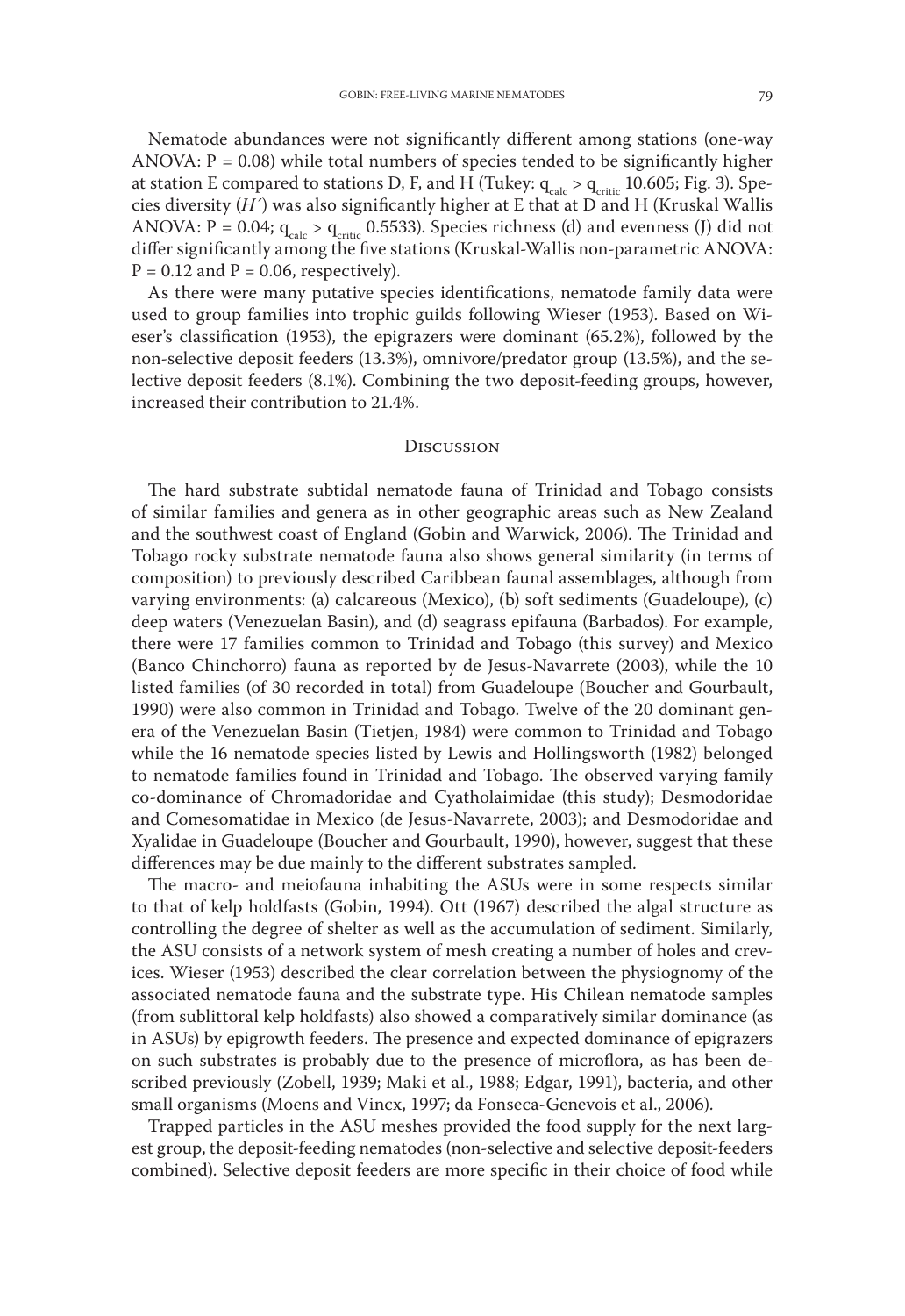Nematode abundances were not significantly different among stations (one-way ANOVA:  $P = 0.08$ ) while total numbers of species tended to be significantly higher at station E compared to stations D, F, and H (Tukey:  $q_{calc} > q_{critic}$  10.605; Fig. 3). Species diversity (*H´*) was also significantly higher at E that at D and H (Kruskal Wallis ANOVA:  $P = 0.04$ ;  $q_{calc} > q_{critic}$  0.5533). Species richness (d) and evenness (J) did not differ significantly among the five stations (Kruskal-Wallis non-parametric ANOVA:  $P = 0.12$  and  $P = 0.06$ , respectively).

As there were many putative species identifications, nematode family data were used to group families into trophic guilds following Wieser (1953). Based on Wieser's classification (1953), the epigrazers were dominant (65.2%), followed by the non-selective deposit feeders (13.3%), omnivore/predator group (13.5%), and the selective deposit feeders (8.1%). Combining the two deposit-feeding groups, however, increased their contribution to 21.4%.

#### **DISCUSSION**

The hard substrate subtidal nematode fauna of Trinidad and Tobago consists of similar families and genera as in other geographic areas such as New Zealand and the southwest coast of England (Gobin and Warwick, 2006). The Trinidad and Tobago rocky substrate nematode fauna also shows general similarity (in terms of composition) to previously described Caribbean faunal assemblages, although from varying environments: (a) calcareous (Mexico), (b) soft sediments (Guadeloupe), (c) deep waters (Venezuelan Basin), and (d) seagrass epifauna (Barbados). For example, there were 17 families common to Trinidad and Tobago (this survey) and Mexico (Banco Chinchorro) fauna as reported by de Jesus-Navarrete (2003), while the 10 listed families (of 30 recorded in total) from Guadeloupe (Boucher and Gourbault, 1990) were also common in Trinidad and Tobago. Twelve of the 20 dominant genera of the Venezuelan Basin (Tietjen, 1984) were common to Trinidad and Tobago while the 16 nematode species listed by Lewis and Hollingsworth (1982) belonged to nematode families found in Trinidad and Tobago. The observed varying family co-dominance of Chromadoridae and Cyatholaimidae (this study); Desmodoridae and Comesomatidae in Mexico (de Jesus-Navarrete, 2003); and Desmodoridae and Xyalidae in Guadeloupe (Boucher and Gourbault, 1990), however, suggest that these differences may be due mainly to the different substrates sampled.

The macro- and meiofauna inhabiting the ASUs were in some respects similar to that of kelp holdfasts (Gobin, 1994). Ott (1967) described the algal structure as controlling the degree of shelter as well as the accumulation of sediment. Similarly, the ASU consists of a network system of mesh creating a number of holes and crevices. Wieser (1953) described the clear correlation between the physiognomy of the associated nematode fauna and the substrate type. His Chilean nematode samples (from sublittoral kelp holdfasts) also showed a comparatively similar dominance (as in ASUs) by epigrowth feeders. The presence and expected dominance of epigrazers on such substrates is probably due to the presence of microflora, as has been described previously (Zobell, 1939; Maki et al., 1988; Edgar, 1991), bacteria, and other small organisms (Moens and Vincx, 1997; da Fonseca-Genevois et al., 2006).

Trapped particles in the ASU meshes provided the food supply for the next largest group, the deposit-feeding nematodes (non-selective and selective deposit-feeders combined). Selective deposit feeders are more specific in their choice of food while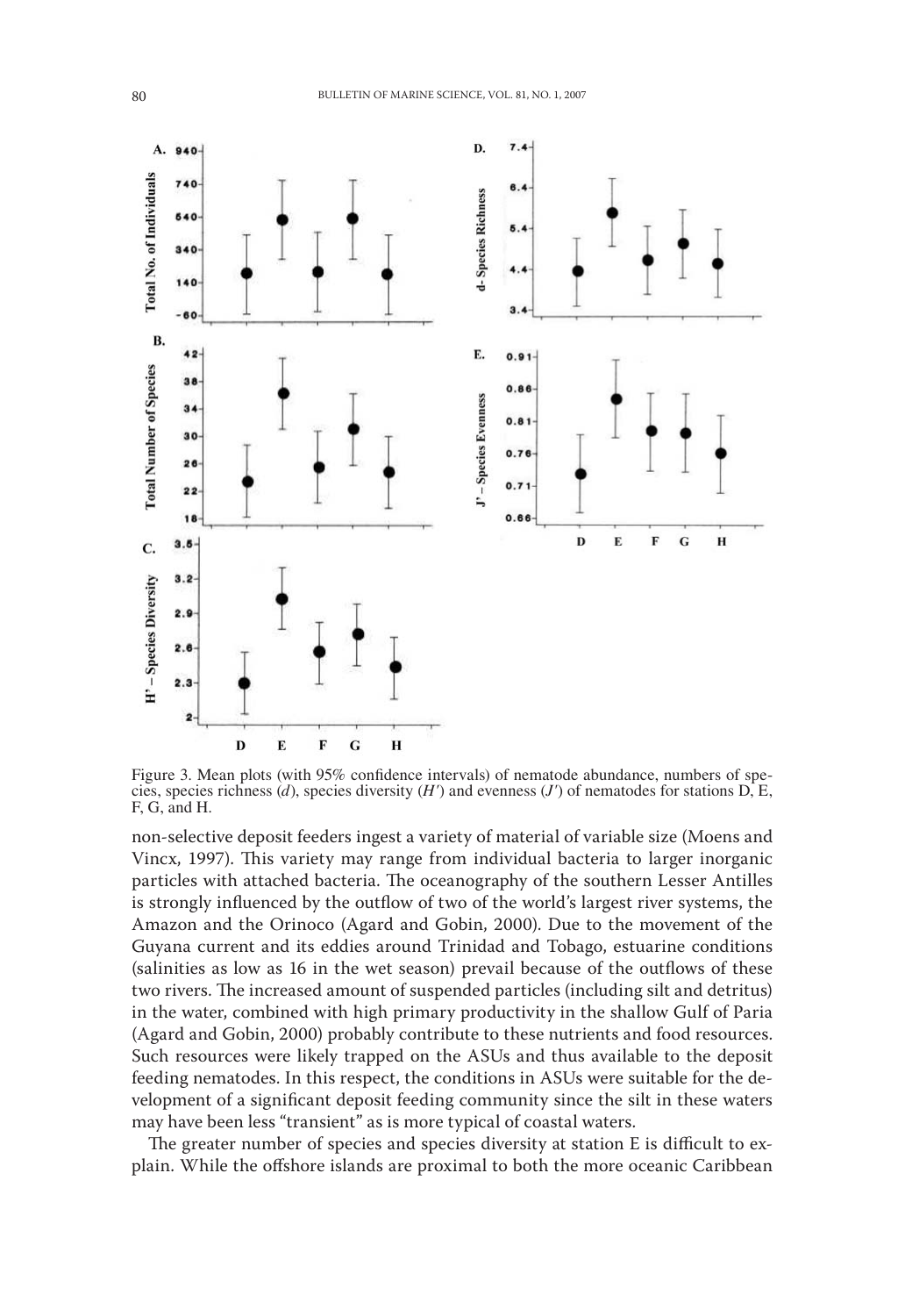

Figure 3. Mean plots (with 95% confidence intervals) of nematode abundance, numbers of species, species richness (*d*), species diversity (*H'*) and evenness (*J'*) of nematodes for stations D, E, F, G, and H.

non-selective deposit feeders ingest a variety of material of variable size (Moens and Vincx, 1997). This variety may range from individual bacteria to larger inorganic particles with attached bacteria. The oceanography of the southern Lesser Antilles is strongly influenced by the outflow of two of the world's largest river systems, the Amazon and the Orinoco (Agard and Gobin, 2000). Due to the movement of the Guyana current and its eddies around Trinidad and Tobago, estuarine conditions (salinities as low as 16 in the wet season) prevail because of the outflows of these two rivers. The increased amount of suspended particles (including silt and detritus) in the water, combined with high primary productivity in the shallow Gulf of Paria (Agard and Gobin, 2000) probably contribute to these nutrients and food resources. Such resources were likely trapped on the ASUs and thus available to the deposit feeding nematodes. In this respect, the conditions in ASUs were suitable for the development of a significant deposit feeding community since the silt in these waters may have been less "transient" as is more typical of coastal waters.

The greater number of species and species diversity at station E is difficult to explain. While the offshore islands are proximal to both the more oceanic Caribbean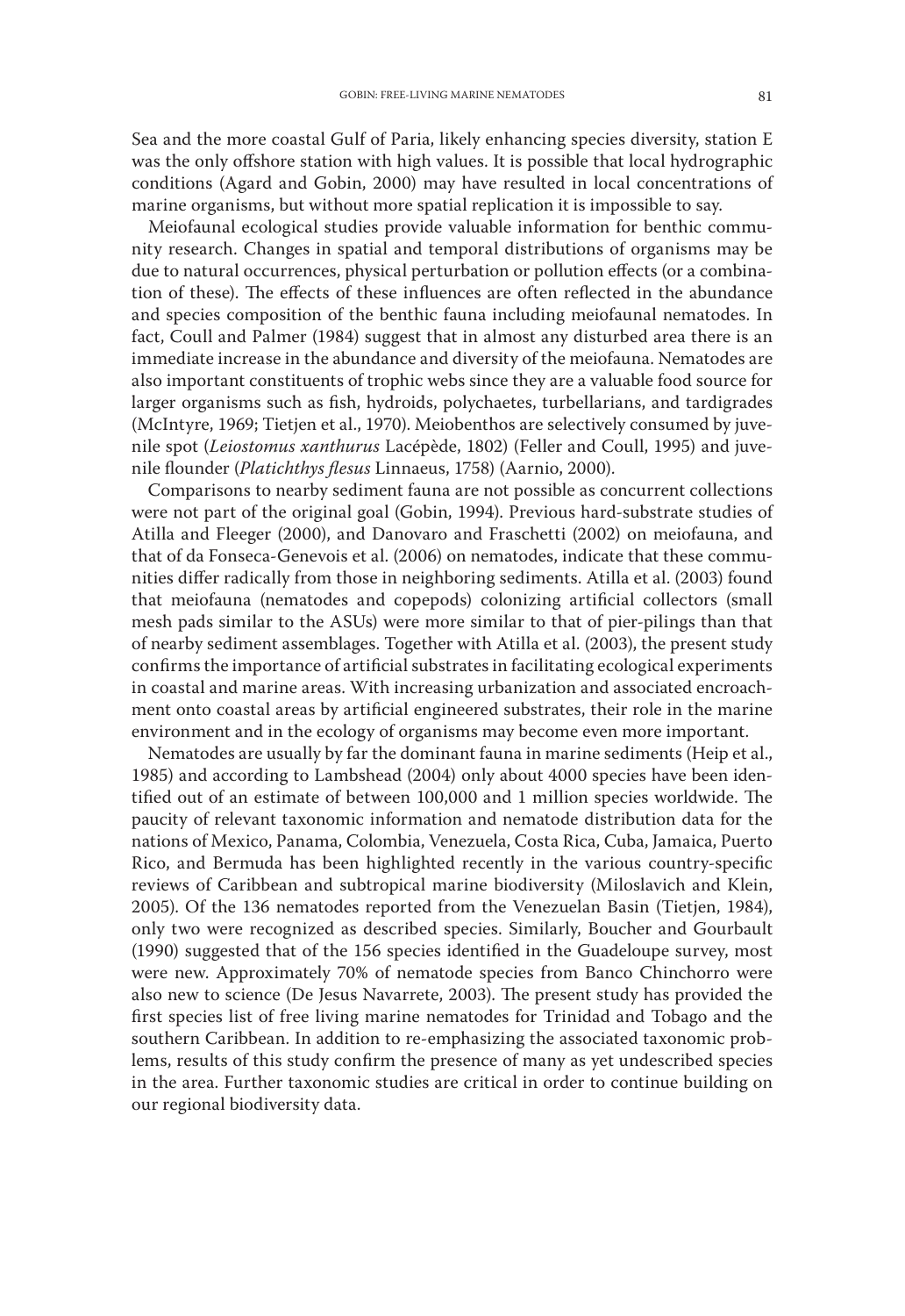Sea and the more coastal Gulf of Paria, likely enhancing species diversity, station E was the only offshore station with high values. It is possible that local hydrographic conditions (Agard and Gobin, 2000) may have resulted in local concentrations of marine organisms, but without more spatial replication it is impossible to say.

Meiofaunal ecological studies provide valuable information for benthic community research. Changes in spatial and temporal distributions of organisms may be due to natural occurrences, physical perturbation or pollution effects (or a combination of these). The effects of these influences are often reflected in the abundance and species composition of the benthic fauna including meiofaunal nematodes. In fact, Coull and Palmer (1984) suggest that in almost any disturbed area there is an immediate increase in the abundance and diversity of the meiofauna. Nematodes are also important constituents of trophic webs since they are a valuable food source for larger organisms such as fish, hydroids, polychaetes, turbellarians, and tardigrades (McIntyre, 1969; Tietjen et al., 1970). Meiobenthos are selectively consumed by juvenile spot (*Leiostomus xanthurus* Lacépède, 1802) (Feller and Coull, 1995) and juvenile flounder (*Platichthys flesus* Linnaeus, 1758) (Aarnio, 2000).

Comparisons to nearby sediment fauna are not possible as concurrent collections were not part of the original goal (Gobin, 1994). Previous hard-substrate studies of Atilla and Fleeger (2000), and Danovaro and Fraschetti (2002) on meiofauna, and that of da Fonseca-Genevois et al. (2006) on nematodes, indicate that these communities differ radically from those in neighboring sediments. Atilla et al. (2003) found that meiofauna (nematodes and copepods) colonizing artificial collectors (small mesh pads similar to the ASUs) were more similar to that of pier-pilings than that of nearby sediment assemblages. Together with Atilla et al. (2003), the present study confirms the importance of artificial substrates in facilitating ecological experiments in coastal and marine areas. With increasing urbanization and associated encroachment onto coastal areas by artificial engineered substrates, their role in the marine environment and in the ecology of organisms may become even more important.

Nematodes are usually by far the dominant fauna in marine sediments (Heip et al., 1985) and according to Lambshead (2004) only about 4000 species have been identified out of an estimate of between 100,000 and 1 million species worldwide. The paucity of relevant taxonomic information and nematode distribution data for the nations of Mexico, Panama, Colombia, Venezuela, Costa Rica, Cuba, Jamaica, Puerto Rico, and Bermuda has been highlighted recently in the various country-specific reviews of Caribbean and subtropical marine biodiversity (Miloslavich and Klein, 2005). Of the 136 nematodes reported from the Venezuelan Basin (Tietjen, 1984), only two were recognized as described species. Similarly, Boucher and Gourbault (1990) suggested that of the 156 species identified in the Guadeloupe survey, most were new. Approximately 70% of nematode species from Banco Chinchorro were also new to science (De Jesus Navarrete, 2003). The present study has provided the first species list of free living marine nematodes for Trinidad and Tobago and the southern Caribbean. In addition to re-emphasizing the associated taxonomic problems, results of this study confirm the presence of many as yet undescribed species in the area. Further taxonomic studies are critical in order to continue building on our regional biodiversity data.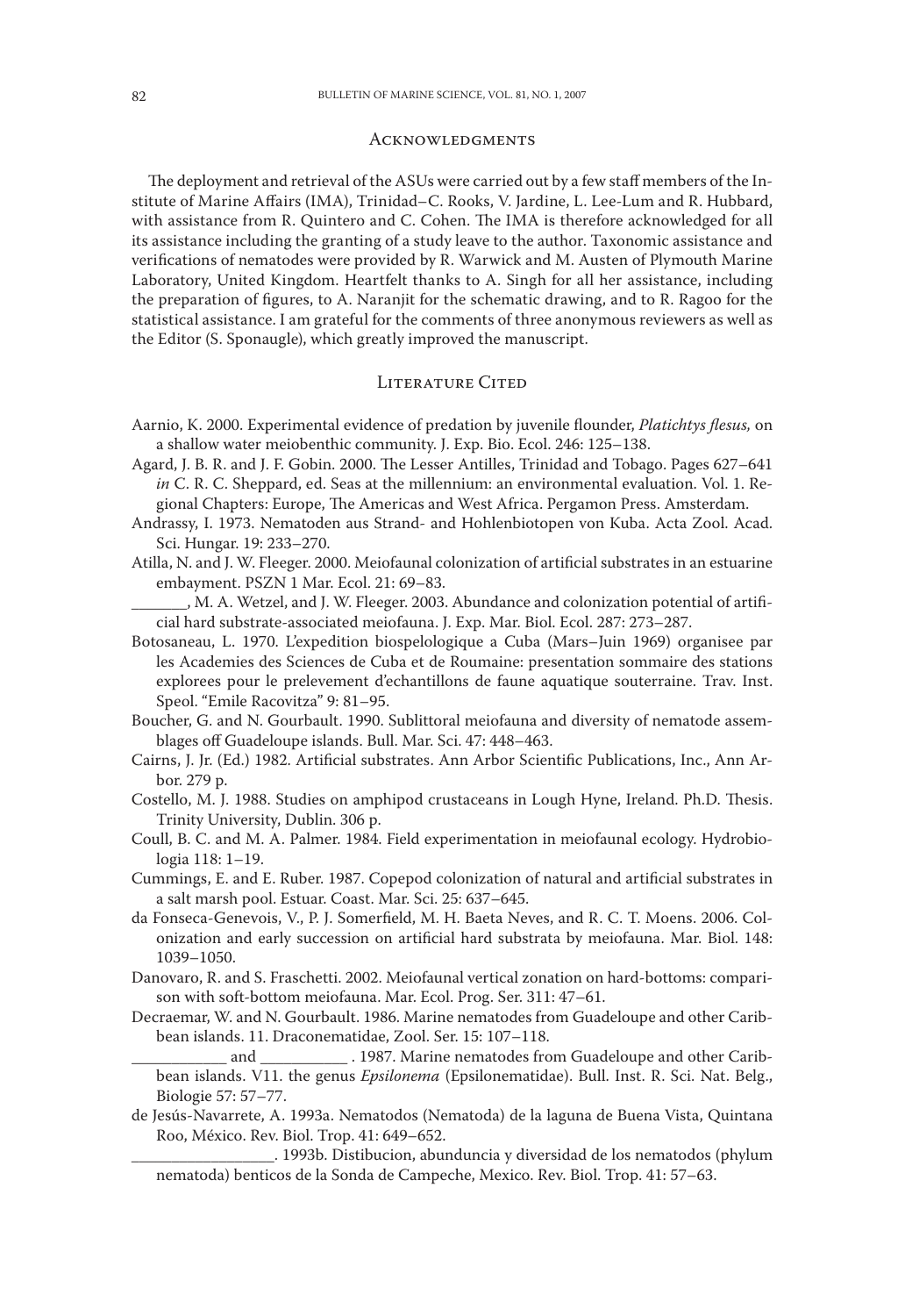#### **ACKNOWLEDGMENTS**

The deployment and retrieval of the ASUs were carried out by a few staff members of the Institute of Marine Affairs (IMA), Trinidad–C. Rooks, V. Jardine, L. Lee-Lum and R. Hubbard, with assistance from R. Quintero and C. Cohen. The IMA is therefore acknowledged for all its assistance including the granting of a study leave to the author. Taxonomic assistance and verifications of nematodes were provided by R. Warwick and M. Austen of Plymouth Marine Laboratory, United Kingdom. Heartfelt thanks to A. Singh for all her assistance, including the preparation of figures, to A. Naranjit for the schematic drawing, and to R. Ragoo for the statistical assistance. I am grateful for the comments of three anonymous reviewers as well as the Editor (S. Sponaugle), which greatly improved the manuscript.

#### LITERATURE CITED

- Aarnio, K. 2000. Experimental evidence of predation by juvenile flounder, *Platichtys flesus,* on a shallow water meiobenthic community. J. Exp. Bio. Ecol. 246: 125–138.
- Agard, J. B. R. and J. F. Gobin. 2000. The Lesser Antilles, Trinidad and Tobago. Pages 627–641 *in* C. R. C. Sheppard, ed. Seas at the millennium: an environmental evaluation. Vol. 1. Regional Chapters: Europe, The Americas and West Africa. Pergamon Press. Amsterdam.
- Andrassy, I. 1973. Nematoden aus Strand- and Hohlenbiotopen von Kuba. Acta Zool. Acad. Sci. Hungar. 19: 233–270.
- Atilla, N. and J. W. Fleeger. 2000. Meiofaunal colonization of artificial substrates in an estuarine embayment. PSZN 1 Mar. Ecol. 21: 69–83.

., M. A. Wetzel, and J. W. Fleeger. 2003. Abundance and colonization potential of artificial hard substrate-associated meiofauna. J. Exp. Mar. Biol. Ecol. 287: 273–287.

- Botosaneau, L. 1970. L'expedition biospelologique a Cuba (Mars–Juin 1969) organisee par les Academies des Sciences de Cuba et de Roumaine: presentation sommaire des stations explorees pour le prelevement d'echantillons de faune aquatique souterraine. Trav. Inst. Speol. "Emile Racovitza" 9: 81–95.
- Boucher, G. and N. Gourbault. 1990. Sublittoral meiofauna and diversity of nematode assemblages off Guadeloupe islands. Bull. Mar. Sci. 47: 448–463.
- Cairns, J. Jr. (Ed.) 1982. Artificial substrates. Ann Arbor Scientific Publications, Inc., Ann Arbor. 279 p.
- Costello, M. J. 1988. Studies on amphipod crustaceans in Lough Hyne, Ireland. Ph.D. Thesis. Trinity University, Dublin. 306 p.
- Coull, B. C. and M. A. Palmer. 1984. Field experimentation in meiofaunal ecology. Hydrobiologia 118: 1–19.
- Cummings, E. and E. Ruber. 1987. Copepod colonization of natural and artificial substrates in a salt marsh pool. Estuar. Coast. Mar. Sci. 25: 637–645.
- da Fonseca-Genevois, V., P. J. Somerfield, M. H. Baeta Neves, and R. C. T. Moens. 2006. Colonization and early succession on artificial hard substrata by meiofauna. Mar. Biol. 148: 1039–1050.
- Danovaro, R. and S. Fraschetti. 2002. Meiofaunal vertical zonation on hard-bottoms: comparison with soft-bottom meiofauna. Mar. Ecol. Prog. Ser. 311: 47–61.
- Decraemar, W. and N. Gourbault. 1986. Marine nematodes from Guadeloupe and other Caribbean islands. 11. Draconematidae, Zool. Ser. 15: 107–118.
- and \_\_\_\_\_\_\_\_\_\_\_\_\_\_. 1987. Marine nematodes from Guadeloupe and other Caribbean islands. V11. the genus *Epsilonema* (Epsilonematidae). Bull. Inst. R. Sci. Nat. Belg., Biologie 57: 57–77.
- de Jesús-Navarrete, A. 1993a. Nematodos (Nematoda) de la laguna de Buena Vista, Quintana Roo, México. Rev. Biol. Trop. 41: 649–652.
	- \_\_\_\_\_\_\_\_\_\_\_\_\_\_\_\_\_\_. 1993b. Distibucion, abunduncia y diversidad de los nematodos (phylum nematoda) benticos de la Sonda de Campeche, Mexico. Rev. Biol. Trop. 41: 57–63.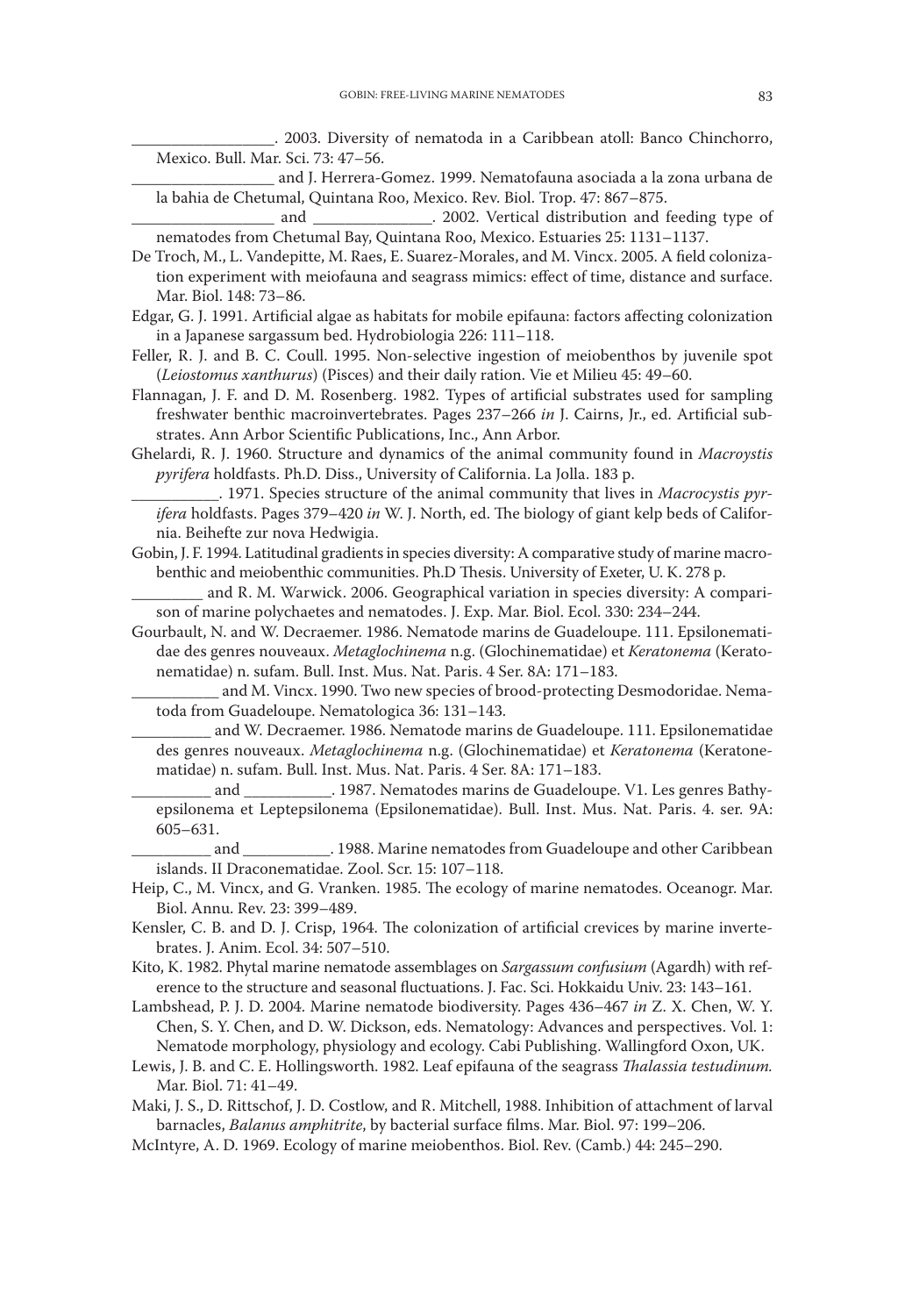\_\_\_\_\_\_\_\_\_\_\_\_\_\_\_\_\_\_. 2003. Diversity of nematoda in a Caribbean atoll: Banco Chinchorro, Mexico. Bull. Mar. Sci. 73: 47–56.

\_\_\_\_\_\_\_\_\_\_\_\_\_\_\_\_\_\_ and J. Herrera-Gomez. 1999. Nematofauna asociada a la zona urbana de la bahia de Chetumal, Quintana Roo, Mexico. Rev. Biol. Trop. 47: 867–875.

and \_\_\_\_\_\_\_\_\_\_\_\_\_\_\_. 2002. Vertical distribution and feeding type of nematodes from Chetumal Bay, Quintana Roo, Mexico. Estuaries 25: 1131–1137.

- De Troch, M., L. Vandepitte, M. Raes, E. Suarez-Morales, and M. Vincx. 2005. A field colonization experiment with meiofauna and seagrass mimics: effect of time, distance and surface. Mar. Biol. 148: 73–86.
- Edgar, G. J. 1991. Artificial algae as habitats for mobile epifauna: factors affecting colonization in a Japanese sargassum bed. Hydrobiologia 226: 111–118.
- Feller, R. J. and B. C. Coull. 1995. Non-selective ingestion of meiobenthos by juvenile spot (*Leiostomus xanthurus*) (Pisces) and their daily ration. Vie et Milieu 45: 49–60.
- Flannagan, J. F. and D. M. Rosenberg. 1982. Types of artificial substrates used for sampling freshwater benthic macroinvertebrates. Pages 237–266 *in* J. Cairns, Jr., ed. Artificial substrates. Ann Arbor Scientific Publications, Inc., Ann Arbor.
- Ghelardi, R. J. 1960. Structure and dynamics of the animal community found in *Macroystis pyrifera* holdfasts. Ph.D. Diss., University of California. La Jolla. 183 p.
- \_\_\_\_\_\_\_\_\_\_\_. 1971. Species structure of the animal community that lives in *Macrocystis pyrifera* holdfasts. Pages 379–420 *in* W. J. North, ed. The biology of giant kelp beds of California. Beihefte zur nova Hedwigia.
- Gobin, J. F. 1994. Latitudinal gradients in species diversity: A comparative study of marine macrobenthic and meiobenthic communities. Ph.D Thesis. University of Exeter, U. K. 278 p.

and R. M. Warwick. 2006. Geographical variation in species diversity: A comparison of marine polychaetes and nematodes. J. Exp. Mar. Biol. Ecol. 330: 234–244.

- Gourbault, N. and W. Decraemer. 1986. Nematode marins de Guadeloupe. 111. Epsilonematidae des genres nouveaux. *Metaglochinema* n.g. (Glochinematidae) et *Keratonema* (Keratonematidae) n. sufam. Bull. Inst. Mus. Nat. Paris. 4 Ser. 8A: 171–183.
	- and M. Vincx. 1990. Two new species of brood-protecting Desmodoridae. Nematoda from Guadeloupe. Nematologica 36: 131–143.
	- and W. Decraemer. 1986. Nematode marins de Guadeloupe. 111. Epsilonematidae des genres nouveaux. *Metaglochinema* n.g. (Glochinematidae) et *Keratonema* (Keratonematidae) n. sufam. Bull. Inst. Mus. Nat. Paris. 4 Ser. 8A: 171–183.
	- and 2987. Nematodes marins de Guadeloupe. V1. Les genres Bathyepsilonema et Leptepsilonema (Epsilonematidae). Bull. Inst. Mus. Nat. Paris. 4. ser. 9A: 605–631.
- \_\_\_\_\_\_\_\_\_\_ and \_\_\_\_\_\_\_\_\_\_\_. 1988. Marine nematodes from Guadeloupe and other Caribbean islands. II Draconematidae. Zool. Scr. 15: 107–118.
- Heip, C., M. Vincx, and G. Vranken. 1985. The ecology of marine nematodes. Oceanogr. Mar. Biol. Annu. Rev. 23: 399–489.
- Kensler, C. B. and D. J. Crisp, 1964. The colonization of artificial crevices by marine invertebrates. J. Anim. Ecol. 34: 507–510.
- Kito, K. 1982. Phytal marine nematode assemblages on *Sargassum confusium* (Agardh) with reference to the structure and seasonal fluctuations. J. Fac. Sci. Hokkaidu Univ. 23: 143–161.
- Lambshead, P. J. D. 2004. Marine nematode biodiversity. Pages 436–467 *in* Z. X. Chen, W. Y. Chen, S. Y. Chen, and D. W. Dickson, eds. Nematology: Advances and perspectives. Vol. 1: Nematode morphology, physiology and ecology. Cabi Publishing. Wallingford Oxon, UK.
- Lewis, J. B. and C. E. Hollingsworth. 1982. Leaf epifauna of the seagrass *Thalassia testudinum.* Mar. Biol. 71: 41–49.
- Maki, J. S., D. Rittschof, J. D. Costlow, and R. Mitchell, 1988. Inhibition of attachment of larval barnacles, *Balanus amphitrite*, by bacterial surface films. Mar. Biol. 97: 199–206.
- McIntyre, A. D. 1969. Ecology of marine meiobenthos. Biol. Rev. (Camb.) 44: 245–290.